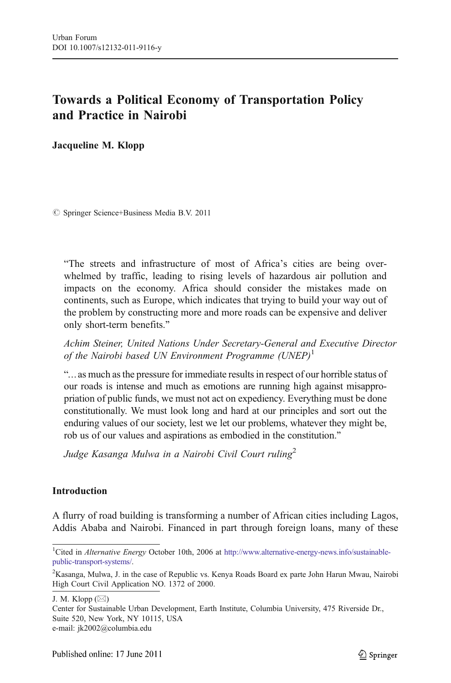# Towards a Political Economy of Transportation Policy and Practice in Nairobi

## Jacqueline M. Klopp

 $\circledcirc$  Springer Science+Business Media B.V. 2011

"The streets and infrastructure of most of Africa's cities are being overwhelmed by traffic, leading to rising levels of hazardous air pollution and impacts on the economy. Africa should consider the mistakes made on continents, such as Europe, which indicates that trying to build your way out of the problem by constructing more and more roads can be expensive and deliver only short-term benefits."

Achim Steiner, United Nations Under Secretary-General and Executive Director of the Nairobi based UN Environment Programme  $(UNEP)^1$ 

"… as much as the pressure for immediate results in respect of our horrible status of our roads is intense and much as emotions are running high against misappropriation of public funds, we must not act on expediency. Everything must be done constitutionally. We must look long and hard at our principles and sort out the enduring values of our society, lest we let our problems, whatever they might be, rob us of our values and aspirations as embodied in the constitution."

Judge Kasanga Mulwa in a Nairobi Civil Court ruling<sup>2</sup>

## Introduction

A flurry of road building is transforming a number of African cities including Lagos, Addis Ababa and Nairobi. Financed in part through foreign loans, many of these

<sup>&</sup>lt;sup>1</sup>Cited in Alternative Energy October 10th, 2006 at [http://www.alternative-energy-news.info/sustainable](http://www.alternative-energy-news.info/sustainable-public-transport-systems/)[public-transport-systems/](http://www.alternative-energy-news.info/sustainable-public-transport-systems/).

<sup>&</sup>lt;sup>2</sup>Kasanga, Mulwa, J. in the case of Republic vs. Kenya Roads Board ex parte John Harun Mwau, Nairobi High Court Civil Application NO. 1372 of 2000.

J. M. Klopp  $(\boxtimes)$ 

Center for Sustainable Urban Development, Earth Institute, Columbia University, 475 Riverside Dr., Suite 520, New York, NY 10115, USA e-mail: jk2002@columbia.edu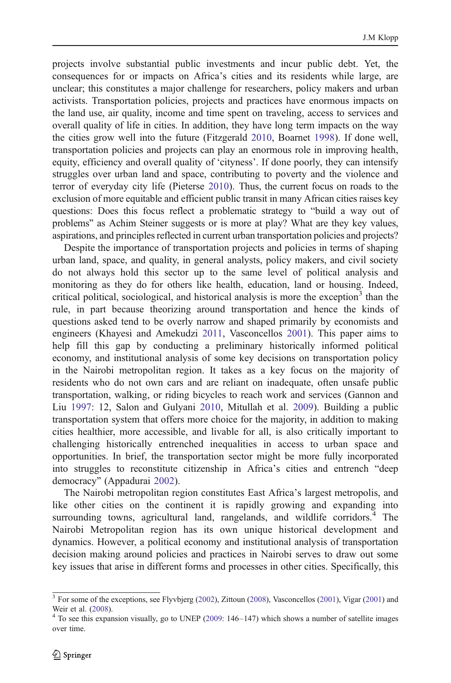projects involve substantial public investments and incur public debt. Yet, the consequences for or impacts on Africa's cities and its residents while large, are unclear; this constitutes a major challenge for researchers, policy makers and urban activists. Transportation policies, projects and practices have enormous impacts on the land use, air quality, income and time spent on traveling, access to services and overall quality of life in cities. In addition, they have long term impacts on the way the cities grow well into the future (Fitzgerald [2010,](#page-17-0) Boarnet [1998](#page-17-0)). If done well, transportation policies and projects can play an enormous role in improving health, equity, efficiency and overall quality of 'cityness'. If done poorly, they can intensify struggles over urban land and space, contributing to poverty and the violence and terror of everyday city life (Pieterse [2010](#page-19-0)). Thus, the current focus on roads to the exclusion of more equitable and efficient public transit in many African cities raises key questions: Does this focus reflect a problematic strategy to "build a way out of problems" as Achim Steiner suggests or is more at play? What are they key values, aspirations, and principles reflected in current urban transportation policies and projects?

Despite the importance of transportation projects and policies in terms of shaping urban land, space, and quality, in general analysts, policy makers, and civil society do not always hold this sector up to the same level of political analysis and monitoring as they do for others like health, education, land or housing. Indeed, critical political, sociological, and historical analysis is more the exception<sup>3</sup> than the rule, in part because theorizing around transportation and hence the kinds of questions asked tend to be overly narrow and shaped primarily by economists and engineers (Khayesi and Amekudzi [2011,](#page-18-0) Vasconcellos [2001\)](#page-20-0). This paper aims to help fill this gap by conducting a preliminary historically informed political economy, and institutional analysis of some key decisions on transportation policy in the Nairobi metropolitan region. It takes as a key focus on the majority of residents who do not own cars and are reliant on inadequate, often unsafe public transportation, walking, or riding bicycles to reach work and services (Gannon and Liu [1997](#page-17-0): 12, Salon and Gulyani [2010,](#page-19-0) Mitullah et al. [2009\)](#page-19-0). Building a public transportation system that offers more choice for the majority, in addition to making cities healthier, more accessible, and livable for all, is also critically important to challenging historically entrenched inequalities in access to urban space and opportunities. In brief, the transportation sector might be more fully incorporated into struggles to reconstitute citizenship in Africa's cities and entrench "deep democracy" (Appadurai [2002](#page-17-0)).

The Nairobi metropolitan region constitutes East Africa's largest metropolis, and like other cities on the continent it is rapidly growing and expanding into surrounding towns, agricultural land, rangelands, and wildlife corridors.<sup>4</sup> The Nairobi Metropolitan region has its own unique historical development and dynamics. However, a political economy and institutional analysis of transportation decision making around policies and practices in Nairobi serves to draw out some key issues that arise in different forms and processes in other cities. Specifically, this

 $3$  For some of the exceptions, see Flyvbjerg [\(2002](#page-17-0)), Zittoun ([2008](#page-20-0)), Vasconcellos ([2001\)](#page-20-0), Vigar [\(2001](#page-20-0)) and Weir et al. (2008).

 $4$  To see this expansion visually, go to UNEP ([2009](#page-19-0): 146–147) which shows a number of satellite images over time.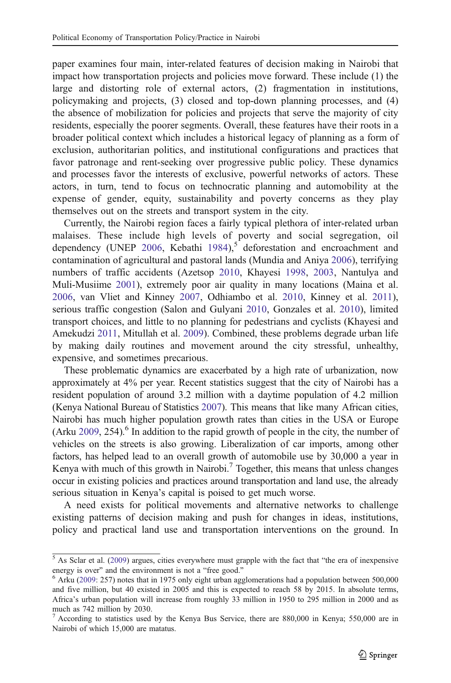paper examines four main, inter-related features of decision making in Nairobi that impact how transportation projects and policies move forward. These include (1) the large and distorting role of external actors, (2) fragmentation in institutions, policymaking and projects, (3) closed and top-down planning processes, and (4) the absence of mobilization for policies and projects that serve the majority of city residents, especially the poorer segments. Overall, these features have their roots in a broader political context which includes a historical legacy of planning as a form of exclusion, authoritarian politics, and institutional configurations and practices that favor patronage and rent-seeking over progressive public policy. These dynamics and processes favor the interests of exclusive, powerful networks of actors. These actors, in turn, tend to focus on technocratic planning and automobility at the expense of gender, equity, sustainability and poverty concerns as they play themselves out on the streets and transport system in the city.

Currently, the Nairobi region faces a fairly typical plethora of inter-related urban malaises. These include high levels of poverty and social segregation, oil dependency (UNEP [2006](#page-19-0), Kebathi [1984](#page-18-0)),<sup>5</sup> deforestation and encroachment and contamination of agricultural and pastoral lands (Mundia and Aniya [2006\)](#page-19-0), terrifying numbers of traffic accidents (Azetsop [2010,](#page-17-0) Khayesi [1998](#page-18-0), [2003,](#page-18-0) Nantulya and Muli-Musiime [2001\)](#page-19-0), extremely poor air quality in many locations (Maina et al. [2006,](#page-18-0) van Vliet and Kinney [2007](#page-20-0), Odhiambo et al. [2010](#page-19-0), Kinney et al. [2011\)](#page-18-0), serious traffic congestion (Salon and Gulyani [2010](#page-19-0), Gonzales et al. [2010](#page-17-0)), limited transport choices, and little to no planning for pedestrians and cyclists (Khayesi and Amekudzi [2011,](#page-18-0) Mitullah et al. [2009\)](#page-19-0). Combined, these problems degrade urban life by making daily routines and movement around the city stressful, unhealthy, expensive, and sometimes precarious.

These problematic dynamics are exacerbated by a high rate of urbanization, now approximately at 4% per year. Recent statistics suggest that the city of Nairobi has a resident population of around 3.2 million with a daytime population of 4.2 million (Kenya National Bureau of Statistics [2007\)](#page-18-0). This means that like many African cities, Nairobi has much higher population growth rates than cities in the USA or Europe (Arku [2009](#page-17-0), 254).<sup>6</sup> In addition to the rapid growth of people in the city, the number of vehicles on the streets is also growing. Liberalization of car imports, among other factors, has helped lead to an overall growth of automobile use by 30,000 a year in Kenya with much of this growth in Nairobi.<sup>7</sup> Together, this means that unless changes occur in existing policies and practices around transportation and land use, the already serious situation in Kenya's capital is poised to get much worse.

A need exists for political movements and alternative networks to challenge existing patterns of decision making and push for changes in ideas, institutions, policy and practical land use and transportation interventions on the ground. In

 $\frac{5}{5}$  As Sclar et al. [\(2009](#page-19-0)) argues, cities everywhere must grapple with the fact that "the era of inexpensive energy is over" and the environment is not a "free good."<br><sup>6</sup> Arku [\(2009](#page-17-0): 257) notes that in 1975 only eight urban agglomerations had a population between 500,000

and five million, but 40 existed in 2005 and this is expected to reach 58 by 2015. In absolute terms, Africa's urban population will increase from roughly 33 million in 1950 to 295 million in 2000 and as much as 742 million by 2030.

 $^7$  According to statistics used by the Kenya Bus Service, there are 880,000 in Kenya; 550,000 are in Nairobi of which 15,000 are matatus.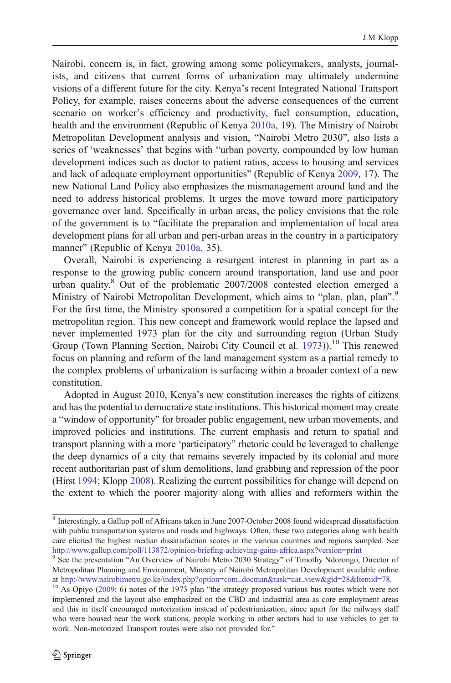Nairobi, concern is, in fact, growing among some policymakers, analysts, journalists, and citizens that current forms of urbanization may ultimately undermine visions of a different future for the city. Kenya's recent Integrated National Transport Policy, for example, raises concerns about the adverse consequences of the current scenario on worker's efficiency and productivity, fuel consumption, education, health and the environment (Republic of Kenya [2010a](#page-19-0), 19). The Ministry of Nairobi Metropolitan Development analysis and vision, "Nairobi Metro 2030", also lists a series of 'weaknesses' that begins with "urban poverty, compounded by low human development indices such as doctor to patient ratios, access to housing and services and lack of adequate employment opportunities" (Republic of Kenya [2009](#page-19-0), 17). The new National Land Policy also emphasizes the mismanagement around land and the need to address historical problems. It urges the move toward more participatory governance over land. Specifically in urban areas, the policy envisions that the role of the government is to "facilitate the preparation and implementation of local area development plans for all urban and peri-urban areas in the country in a participatory manner" (Republic of Kenya [2010a](#page-19-0), 35).

Overall, Nairobi is experiencing a resurgent interest in planning in part as a response to the growing public concern around transportation, land use and poor urban quality. $8$  Out of the problematic 2007/2008 contested election emerged a Ministry of Nairobi Metropolitan Development, which aims to "plan, plan, plan".<sup>9</sup> For the first time, the Ministry sponsored a competition for a spatial concept for the metropolitan region. This new concept and framework would replace the lapsed and never implemented 1973 plan for the city and surrounding region (Urban Study Group (Town Planning Section, Nairobi City Council et al. [1973](#page-19-0))).<sup>10</sup> This renewed focus on planning and reform of the land management system as a partial remedy to the complex problems of urbanization is surfacing within a broader context of a new constitution.

Adopted in August 2010, Kenya's new constitution increases the rights of citizens and has the potential to democratize state institutions. This historical moment may create a "window of opportunity" for broader public engagement, new urban movements, and improved policies and institutions. The current emphasis and return to spatial and transport planning with a more 'participatory" rhetoric could be leveraged to challenge the deep dynamics of a city that remains severely impacted by its colonial and more recent authoritarian past of slum demolitions, land grabbing and repression of the poor (Hirst [1994;](#page-18-0) Klopp [2008](#page-18-0)). Realizing the current possibilities for change will depend on the extent to which the poorer majority along with allies and reformers within the

 $8$  Interestingly, a Gallup poll of Africans taken in June 2007-October 2008 found widespread dissatisfaction with public transportation systems and roads and highways. Often, these two categories along with health care elicited the highest median dissatisfaction scores in the various countries and regions sampled. See <http://www.gallup.com/poll/113872/opinion-briefing-achieving-gains-africa.aspx?version=print>

<sup>&</sup>lt;sup>9</sup> See the presentation "An Overview of Nairobi Metro 2030 Strategy" of Timothy Ndorongo, Director of Metropolitan Planning and Environment, Ministry of Nairobi Metropolitan Development available online at [http://www.nairobimetro.go.ke/index.php?option=com\\_docman&task=cat\\_view&gid=28&Itemid=78](http://www.nairobimetro.go.ke/index.php?option=com_docman&task=cat_view&gid=28&Itemid=78). <sup>10</sup> As Opiyo ([2009:](#page-19-0) 6) notes of the 1973 plan "the strategy proposed various bus routes which were not

implemented and the layout also emphasized on the CBD and industrial area as core employment areas and this in itself encouraged motorization instead of pedestrianization, since apart for the railways staff who were housed near the work stations, people working in other sectors had to use vehicles to get to work. Non-motorized Transport routes were also not provided for."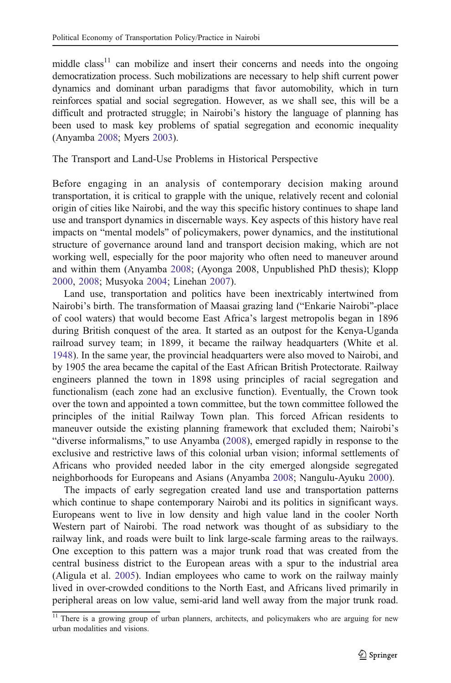middle class<sup>11</sup> can mobilize and insert their concerns and needs into the ongoing democratization process. Such mobilizations are necessary to help shift current power dynamics and dominant urban paradigms that favor automobility, which in turn reinforces spatial and social segregation. However, as we shall see, this will be a difficult and protracted struggle; in Nairobi's history the language of planning has been used to mask key problems of spatial segregation and economic inequality (Anyamba [2008;](#page-17-0) Myers [2003](#page-19-0)).

#### The Transport and Land-Use Problems in Historical Perspective

Before engaging in an analysis of contemporary decision making around transportation, it is critical to grapple with the unique, relatively recent and colonial origin of cities like Nairobi, and the way this specific history continues to shape land use and transport dynamics in discernable ways. Key aspects of this history have real impacts on "mental models" of policymakers, power dynamics, and the institutional structure of governance around land and transport decision making, which are not working well, especially for the poor majority who often need to maneuver around and within them (Anyamba [2008](#page-17-0); (Ayonga 2008, Unpublished PhD thesis); Klopp [2000,](#page-18-0) [2008;](#page-18-0) Musyoka [2004;](#page-19-0) Linehan [2007\)](#page-18-0).

Land use, transportation and politics have been inextricably intertwined from Nairobi's birth. The transformation of Maasai grazing land ("Enkarie Nairobi"-place of cool waters) that would become East Africa's largest metropolis began in 1896 during British conquest of the area. It started as an outpost for the Kenya-Uganda railroad survey team; in 1899, it became the railway headquarters (White et al. [1948\)](#page-20-0). In the same year, the provincial headquarters were also moved to Nairobi, and by 1905 the area became the capital of the East African British Protectorate. Railway engineers planned the town in 1898 using principles of racial segregation and functionalism (each zone had an exclusive function). Eventually, the Crown took over the town and appointed a town committee, but the town committee followed the principles of the initial Railway Town plan. This forced African residents to maneuver outside the existing planning framework that excluded them; Nairobi's "diverse informalisms," to use Anyamba [\(2008](#page-17-0)), emerged rapidly in response to the exclusive and restrictive laws of this colonial urban vision; informal settlements of Africans who provided needed labor in the city emerged alongside segregated neighborhoods for Europeans and Asians (Anyamba [2008](#page-17-0); Nangulu-Ayuku [2000](#page-19-0)).

The impacts of early segregation created land use and transportation patterns which continue to shape contemporary Nairobi and its politics in significant ways. Europeans went to live in low density and high value land in the cooler North Western part of Nairobi. The road network was thought of as subsidiary to the railway link, and roads were built to link large-scale farming areas to the railways. One exception to this pattern was a major trunk road that was created from the central business district to the European areas with a spur to the industrial area (Aligula et al. [2005\)](#page-17-0). Indian employees who came to work on the railway mainly lived in over-crowded conditions to the North East, and Africans lived primarily in peripheral areas on low value, semi-arid land well away from the major trunk road.

<sup>&</sup>lt;sup>11</sup> There is a growing group of urban planners, architects, and policymakers who are arguing for new urban modalities and visions.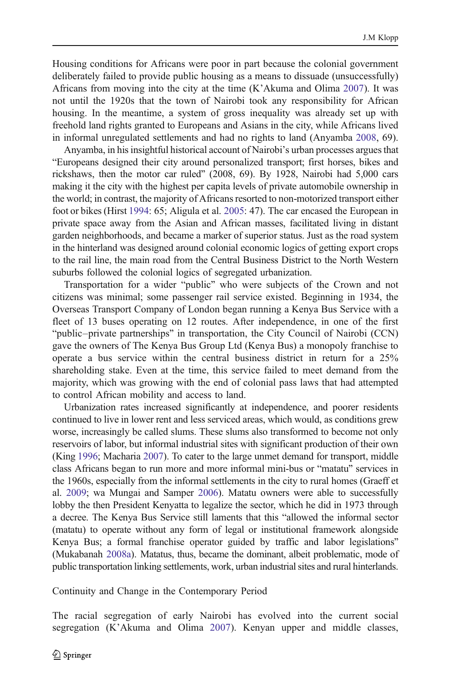Housing conditions for Africans were poor in part because the colonial government deliberately failed to provide public housing as a means to dissuade (unsuccessfully) Africans from moving into the city at the time (K'Akuma and Olima [2007\)](#page-18-0). It was not until the 1920s that the town of Nairobi took any responsibility for African housing. In the meantime, a system of gross inequality was already set up with freehold land rights granted to Europeans and Asians in the city, while Africans lived in informal unregulated settlements and had no rights to land (Anyamba [2008,](#page-17-0) 69).

Anyamba, in his insightful historical account of Nairobi's urban processes argues that "Europeans designed their city around personalized transport; first horses, bikes and rickshaws, then the motor car ruled" (2008, 69). By 1928, Nairobi had 5,000 cars making it the city with the highest per capita levels of private automobile ownership in the world; in contrast, the majority of Africans resorted to non-motorized transport either foot or bikes (Hirst [1994](#page-18-0): 65; Aligula et al. [2005:](#page-17-0) 47). The car encased the European in private space away from the Asian and African masses, facilitated living in distant garden neighborhoods, and became a marker of superior status. Just as the road system in the hinterland was designed around colonial economic logics of getting export crops to the rail line, the main road from the Central Business District to the North Western suburbs followed the colonial logics of segregated urbanization.

Transportation for a wider "public" who were subjects of the Crown and not citizens was minimal; some passenger rail service existed. Beginning in 1934, the Overseas Transport Company of London began running a Kenya Bus Service with a fleet of 13 buses operating on 12 routes. After independence, in one of the first "public–private partnerships" in transportation, the City Council of Nairobi (CCN) gave the owners of The Kenya Bus Group Ltd (Kenya Bus) a monopoly franchise to operate a bus service within the central business district in return for a 25% shareholding stake. Even at the time, this service failed to meet demand from the majority, which was growing with the end of colonial pass laws that had attempted to control African mobility and access to land.

Urbanization rates increased significantly at independence, and poorer residents continued to live in lower rent and less serviced areas, which would, as conditions grew worse, increasingly be called slums. These slums also transformed to become not only reservoirs of labor, but informal industrial sites with significant production of their own (King [1996](#page-18-0); Macharia [2007](#page-18-0)). To cater to the large unmet demand for transport, middle class Africans began to run more and more informal mini-bus or "matatu" services in the 1960s, especially from the informal settlements in the city to rural homes (Graeff et al. [2009](#page-18-0); wa Mungai and Samper [2006\)](#page-20-0). Matatu owners were able to successfully lobby the then President Kenyatta to legalize the sector, which he did in 1973 through a decree. The Kenya Bus Service still laments that this "allowed the informal sector (matatu) to operate without any form of legal or institutional framework alongside Kenya Bus; a formal franchise operator guided by traffic and labor legislations" (Mukabanah [2008a\)](#page-19-0). Matatus, thus, became the dominant, albeit problematic, mode of public transportation linking settlements, work, urban industrial sites and rural hinterlands.

Continuity and Change in the Contemporary Period

The racial segregation of early Nairobi has evolved into the current social segregation (K'Akuma and Olima [2007\)](#page-18-0). Kenyan upper and middle classes,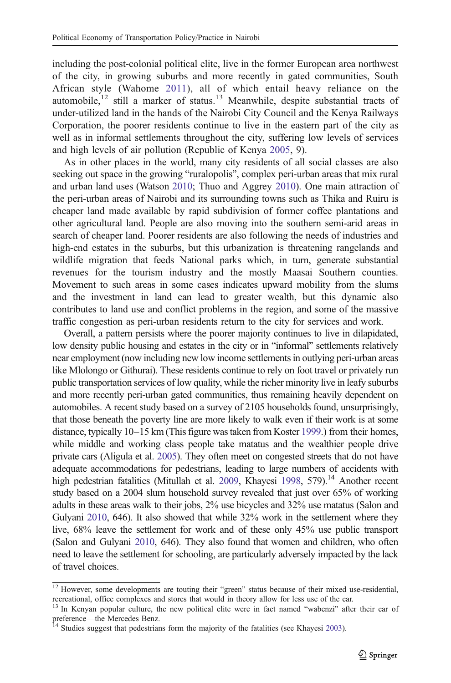including the post-colonial political elite, live in the former European area northwest of the city, in growing suburbs and more recently in gated communities, South African style (Wahome [2011](#page-20-0)), all of which entail heavy reliance on the automobile,<sup>12</sup> still a marker of status.<sup>13</sup> Meanwhile, despite substantial tracts of under-utilized land in the hands of the Nairobi City Council and the Kenya Railways Corporation, the poorer residents continue to live in the eastern part of the city as well as in informal settlements throughout the city, suffering low levels of services and high levels of air pollution (Republic of Kenya [2005,](#page-19-0) 9).

As in other places in the world, many city residents of all social classes are also seeking out space in the growing "ruralopolis", complex peri-urban areas that mix rural and urban land uses (Watson [2010;](#page-20-0) Thuo and Aggrey [2010](#page-19-0)). One main attraction of the peri-urban areas of Nairobi and its surrounding towns such as Thika and Ruiru is cheaper land made available by rapid subdivision of former coffee plantations and other agricultural land. People are also moving into the southern semi-arid areas in search of cheaper land. Poorer residents are also following the needs of industries and high-end estates in the suburbs, but this urbanization is threatening rangelands and wildlife migration that feeds National parks which, in turn, generate substantial revenues for the tourism industry and the mostly Maasai Southern counties. Movement to such areas in some cases indicates upward mobility from the slums and the investment in land can lead to greater wealth, but this dynamic also contributes to land use and conflict problems in the region, and some of the massive traffic congestion as peri-urban residents return to the city for services and work.

Overall, a pattern persists where the poorer majority continues to live in dilapidated, low density public housing and estates in the city or in "informal" settlements relatively near employment (now including new low income settlements in outlying peri-urban areas like Mlolongo or Githurai). These residents continue to rely on foot travel or privately run public transportation services of low quality, while the richer minority live in leafy suburbs and more recently peri-urban gated communities, thus remaining heavily dependent on automobiles. A recent study based on a survey of 2105 households found, unsurprisingly, that those beneath the poverty line are more likely to walk even if their work is at some distance, typically 10–15 km (This figure was taken from Koster [1999.](#page-18-0)) from their homes, while middle and working class people take matatus and the wealthier people drive private cars (Aligula et al. [2005](#page-17-0)). They often meet on congested streets that do not have adequate accommodations for pedestrians, leading to large numbers of accidents with high pedestrian fatalities (Mitullah et al. [2009,](#page-19-0) Khayesi [1998](#page-18-0), 579).<sup>14</sup> Another recent study based on a 2004 slum household survey revealed that just over 65% of working adults in these areas walk to their jobs, 2% use bicycles and 32% use matatus (Salon and Gulyani [2010](#page-19-0), 646). It also showed that while 32% work in the settlement where they live, 68% leave the settlement for work and of these only 45% use public transport (Salon and Gulyani [2010,](#page-19-0) 646). They also found that women and children, who often need to leave the settlement for schooling, are particularly adversely impacted by the lack of travel choices.

<sup>&</sup>lt;sup>12</sup> However, some developments are touting their "green" status because of their mixed use-residential, recreational, office complexes and stores that would in theory allow for less use of the car.

<sup>&</sup>lt;sup>13</sup> In Kenyan popular culture, the new political elite were in fact named "wabenzi" after their car of preference—the Mercedes Benz.<br><sup>14</sup> Studies suggest that pedestrians form the majority of the fatalities (see Khayesi [2003\)](#page-18-0).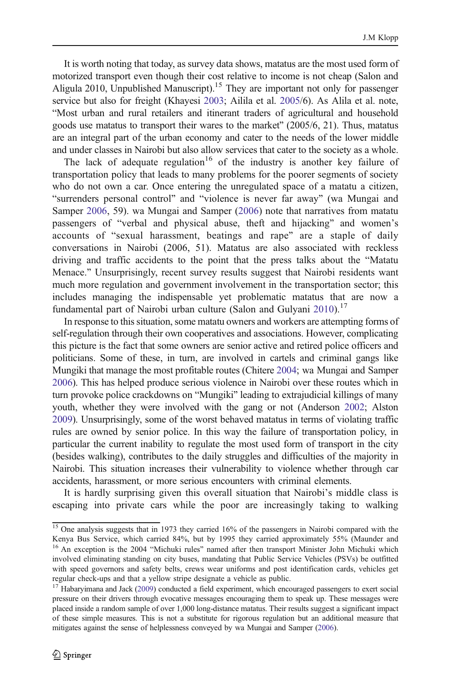It is worth noting that today, as survey data shows, matatus are the most used form of motorized transport even though their cost relative to income is not cheap (Salon and Aligula 2010, Unpublished Manuscript).<sup>15</sup> They are important not only for passenger service but also for freight (Khayesi [2003](#page-18-0); Ailila et al. [2005](#page-17-0)/6). As Alila et al. note, "Most urban and rural retailers and itinerant traders of agricultural and household goods use matatus to transport their wares to the market" (2005/6, 21). Thus, matatus are an integral part of the urban economy and cater to the needs of the lower middle and under classes in Nairobi but also allow services that cater to the society as a whole.

The lack of adequate regulation<sup>16</sup> of the industry is another key failure of transportation policy that leads to many problems for the poorer segments of society who do not own a car. Once entering the unregulated space of a matatu a citizen, "surrenders personal control" and "violence is never far away" (wa Mungai and Samper [2006](#page-20-0), 59). wa Mungai and Samper [\(2006](#page-20-0)) note that narratives from matatu passengers of "verbal and physical abuse, theft and hijacking" and women's accounts of "sexual harassment, beatings and rape" are a staple of daily conversations in Nairobi (2006, 51). Matatus are also associated with reckless driving and traffic accidents to the point that the press talks about the "Matatu Menace." Unsurprisingly, recent survey results suggest that Nairobi residents want much more regulation and government involvement in the transportation sector; this includes managing the indispensable yet problematic matatus that are now a fundamental part of Nairobi urban culture (Salon and Gulyani [2010\)](#page-19-0).<sup>17</sup>

In response to this situation, some matatu owners and workers are attempting forms of self-regulation through their own cooperatives and associations. However, complicating this picture is the fact that some owners are senior active and retired police officers and politicians. Some of these, in turn, are involved in cartels and criminal gangs like Mungiki that manage the most profitable routes (Chitere [2004](#page-17-0); wa Mungai and Samper [2006\)](#page-20-0). This has helped produce serious violence in Nairobi over these routes which in turn provoke police crackdowns on "Mungiki" leading to extrajudicial killings of many youth, whether they were involved with the gang or not (Anderson [2002](#page-17-0); Alston [2009\)](#page-17-0). Unsurprisingly, some of the worst behaved matatus in terms of violating traffic rules are owned by senior police. In this way the failure of transportation policy, in particular the current inability to regulate the most used form of transport in the city (besides walking), contributes to the daily struggles and difficulties of the majority in Nairobi. This situation increases their vulnerability to violence whether through car accidents, harassment, or more serious encounters with criminal elements.

It is hardly surprising given this overall situation that Nairobi's middle class is escaping into private cars while the poor are increasingly taking to walking

<sup>&</sup>lt;sup>15</sup> One analysis suggests that in 1973 they carried 16% of the passengers in Nairobi compared with the Kenya Bus Service, which carried 84%, but by 1995 they carried approximately 55% (Maunder and <sup>16</sup> An exception is the 2004 "Michuki rules" named after then transport Minister John Michuki which involved eliminating standing on city buses, mandating that Public Service Vehicles (PSVs) be outfitted with speed governors and safety belts, crews wear uniforms and post identification cards, vehicles get regular check-ups and that a yellow stripe designate a vehicle as public.

<sup>&</sup>lt;sup>17</sup> Habaryimana and Jack [\(2009](#page-18-0)) conducted a field experiment, which encouraged passengers to exert social pressure on their drivers through evocative messages encouraging them to speak up. These messages were placed inside a random sample of over 1,000 long-distance matatus. Their results suggest a significant impact of these simple measures. This is not a substitute for rigorous regulation but an additional measure that mitigates against the sense of helplessness conveyed by wa Mungai and Samper ([2006](#page-20-0)).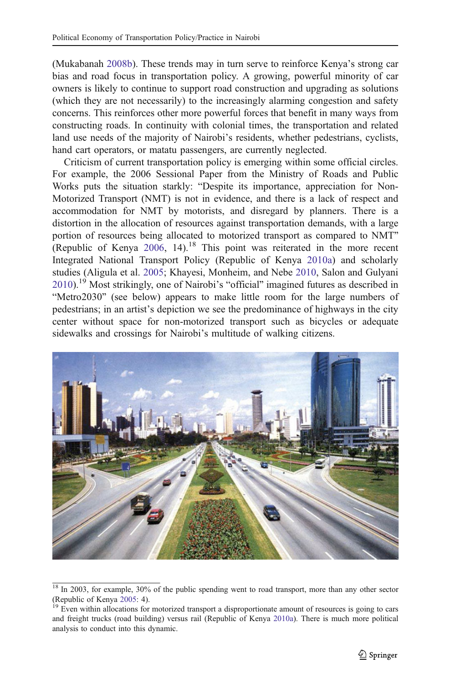(Mukabanah [2008b\)](#page-19-0). These trends may in turn serve to reinforce Kenya's strong car bias and road focus in transportation policy. A growing, powerful minority of car owners is likely to continue to support road construction and upgrading as solutions (which they are not necessarily) to the increasingly alarming congestion and safety concerns. This reinforces other more powerful forces that benefit in many ways from constructing roads. In continuity with colonial times, the transportation and related land use needs of the majority of Nairobi's residents, whether pedestrians, cyclists, hand cart operators, or matatu passengers, are currently neglected.

Criticism of current transportation policy is emerging within some official circles. For example, the 2006 Sessional Paper from the Ministry of Roads and Public Works puts the situation starkly: "Despite its importance, appreciation for Non-Motorized Transport (NMT) is not in evidence, and there is a lack of respect and accommodation for NMT by motorists, and disregard by planners. There is a distortion in the allocation of resources against transportation demands, with a large portion of resources being allocated to motorized transport as compared to NMT" (Republic of Kenya [2006](#page-19-0), 14).<sup>18</sup> This point was reiterated in the more recent Integrated National Transport Policy (Republic of Kenya [2010a\)](#page-19-0) and scholarly studies (Aligula et al. [2005;](#page-17-0) Khayesi, Monheim, and Nebe [2010](#page-18-0), Salon and Gulyani [2010\)](#page-19-0).<sup>19</sup> Most strikingly, one of Nairobi's "official" imagined futures as described in "Metro2030" (see below) appears to make little room for the large numbers of pedestrians; in an artist's depiction we see the predominance of highways in the city center without space for non-motorized transport such as bicycles or adequate sidewalks and crossings for Nairobi's multitude of walking citizens.



<sup>&</sup>lt;sup>18</sup> In 2003, for example, 30% of the public spending went to road transport, more than any other sector (Republic of Kenya 2005: 4).

Even within allocations for motorized transport a disproportionate amount of resources is going to cars and freight trucks (road building) versus rail (Republic of Kenya [2010a\)](#page-19-0). There is much more political analysis to conduct into this dynamic.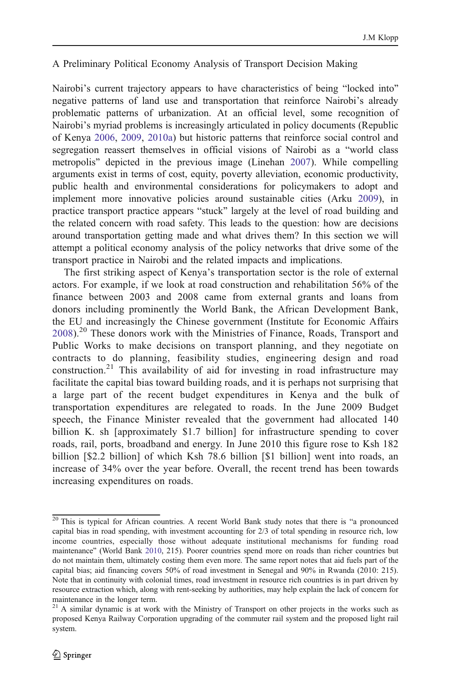### A Preliminary Political Economy Analysis of Transport Decision Making

Nairobi's current trajectory appears to have characteristics of being "locked into" negative patterns of land use and transportation that reinforce Nairobi's already problematic patterns of urbanization. At an official level, some recognition of Nairobi's myriad problems is increasingly articulated in policy documents (Republic of Kenya [2006](#page-19-0), [2009,](#page-19-0) [2010a](#page-19-0)) but historic patterns that reinforce social control and segregation reassert themselves in official visions of Nairobi as a "world class metropolis" depicted in the previous image (Linehan [2007\)](#page-18-0). While compelling arguments exist in terms of cost, equity, poverty alleviation, economic productivity, public health and environmental considerations for policymakers to adopt and implement more innovative policies around sustainable cities (Arku [2009](#page-17-0)), in practice transport practice appears "stuck" largely at the level of road building and the related concern with road safety. This leads to the question: how are decisions around transportation getting made and what drives them? In this section we will attempt a political economy analysis of the policy networks that drive some of the transport practice in Nairobi and the related impacts and implications.

The first striking aspect of Kenya's transportation sector is the role of external actors. For example, if we look at road construction and rehabilitation 56% of the finance between 2003 and 2008 came from external grants and loans from donors including prominently the World Bank, the African Development Bank, the EU and increasingly the Chinese government (Institute for Economic Affairs [2008](#page-18-0)).<sup>20</sup> These donors work with the Ministries of Finance, Roads, Transport and Public Works to make decisions on transport planning, and they negotiate on contracts to do planning, feasibility studies, engineering design and road construction.<sup>21</sup> This availability of aid for investing in road infrastructure may facilitate the capital bias toward building roads, and it is perhaps not surprising that a large part of the recent budget expenditures in Kenya and the bulk of transportation expenditures are relegated to roads. In the June 2009 Budget speech, the Finance Minister revealed that the government had allocated 140 billion K. sh [approximately \$1.7 billion] for infrastructure spending to cover roads, rail, ports, broadband and energy. In June 2010 this figure rose to Ksh 182 billion [\$2.2 billion] of which Ksh 78.6 billion [\$1 billion] went into roads, an increase of 34% over the year before. Overall, the recent trend has been towards increasing expenditures on roads.

 $20$  This is typical for African countries. A recent World Bank study notes that there is "a pronounced capital bias in road spending, with investment accounting for 2/3 of total spending in resource rich, low income countries, especially those without adequate institutional mechanisms for funding road maintenance" (World Bank [2010](#page-20-0), 215). Poorer countries spend more on roads than richer countries but do not maintain them, ultimately costing them even more. The same report notes that aid fuels part of the capital bias; aid financing covers 50% of road investment in Senegal and 90% in Rwanda (2010: 215). Note that in continuity with colonial times, road investment in resource rich countries is in part driven by resource extraction which, along with rent-seeking by authorities, may help explain the lack of concern for maintenance in the longer term.

<sup>&</sup>lt;sup>21</sup> A similar dynamic is at work with the Ministry of Transport on other projects in the works such as proposed Kenya Railway Corporation upgrading of the commuter rail system and the proposed light rail system.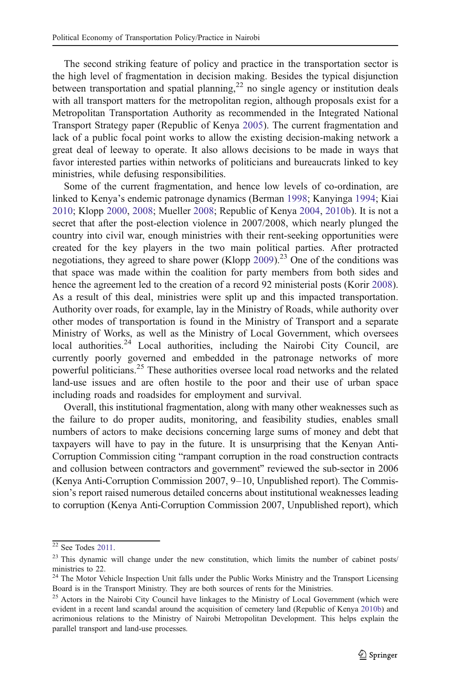The second striking feature of policy and practice in the transportation sector is the high level of fragmentation in decision making. Besides the typical disjunction between transportation and spatial planning,<sup>22</sup> no single agency or institution deals with all transport matters for the metropolitan region, although proposals exist for a Metropolitan Transportation Authority as recommended in the Integrated National Transport Strategy paper (Republic of Kenya [2005\)](#page-19-0). The current fragmentation and lack of a public focal point works to allow the existing decision-making network a great deal of leeway to operate. It also allows decisions to be made in ways that favor interested parties within networks of politicians and bureaucrats linked to key ministries, while defusing responsibilities.

Some of the current fragmentation, and hence low levels of co-ordination, are linked to Kenya's endemic patronage dynamics (Berman [1998;](#page-17-0) Kanyinga [1994](#page-18-0); Kiai [2010;](#page-18-0) Klopp [2000,](#page-18-0) [2008](#page-18-0); Mueller [2008;](#page-19-0) Republic of Kenya [2004,](#page-19-0) [2010b](#page-19-0)). It is not a secret that after the post-election violence in 2007/2008, which nearly plunged the country into civil war, enough ministries with their rent-seeking opportunities were created for the key players in the two main political parties. After protracted negotiations, they agreed to share power (Klopp [2009](#page-18-0)).<sup>23</sup> One of the conditions was that space was made within the coalition for party members from both sides and hence the agreement led to the creation of a record 92 ministerial posts (Korir [2008\)](#page-18-0). As a result of this deal, ministries were split up and this impacted transportation. Authority over roads, for example, lay in the Ministry of Roads, while authority over other modes of transportation is found in the Ministry of Transport and a separate Ministry of Works, as well as the Ministry of Local Government, which oversees local authorities.<sup>24</sup> Local authorities, including the Nairobi City Council, are currently poorly governed and embedded in the patronage networks of more powerful politicians.<sup>25</sup> These authorities oversee local road networks and the related land-use issues and are often hostile to the poor and their use of urban space including roads and roadsides for employment and survival.

Overall, this institutional fragmentation, along with many other weaknesses such as the failure to do proper audits, monitoring, and feasibility studies, enables small numbers of actors to make decisions concerning large sums of money and debt that taxpayers will have to pay in the future. It is unsurprising that the Kenyan Anti-Corruption Commission citing "rampant corruption in the road construction contracts and collusion between contractors and government" reviewed the sub-sector in 2006 (Kenya Anti-Corruption Commission 2007, 9–10, Unpublished report). The Commission's report raised numerous detailed concerns about institutional weaknesses leading to corruption (Kenya Anti-Corruption Commission 2007, Unpublished report), which

 $\overline{^{22}}$  See Todes [2011](#page-19-0).

<sup>&</sup>lt;sup>23</sup> This dynamic will change under the new constitution, which limits the number of cabinet posts/ ministries to 22.

<sup>&</sup>lt;sup>24</sup> The Motor Vehicle Inspection Unit falls under the Public Works Ministry and the Transport Licensing Board is in the Transport Ministry. They are both sources of rents for the Ministries.

<sup>&</sup>lt;sup>25</sup> Actors in the Nairobi City Council have linkages to the Ministry of Local Government (which were evident in a recent land scandal around the acquisition of cemetery land (Republic of Kenya [2010b\)](#page-19-0) and acrimonious relations to the Ministry of Nairobi Metropolitan Development. This helps explain the parallel transport and land-use processes.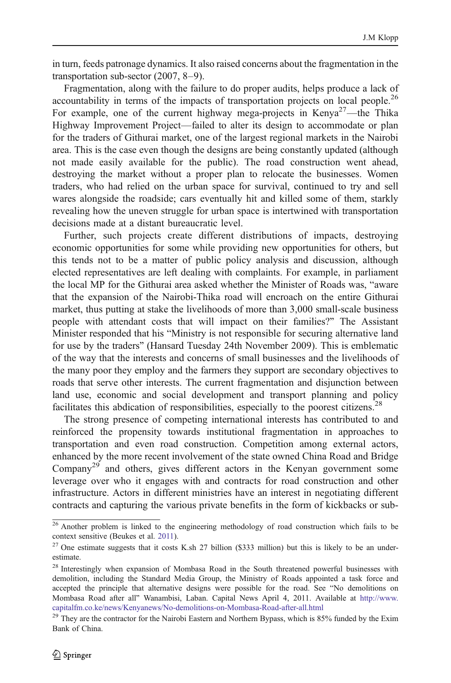in turn, feeds patronage dynamics. It also raised concerns about the fragmentation in the transportation sub-sector (2007, 8–9).

Fragmentation, along with the failure to do proper audits, helps produce a lack of accountability in terms of the impacts of transportation projects on local people.<sup>26</sup> For example, one of the current highway mega-projects in Kenya<sup>27</sup>—the Thika Highway Improvement Project—failed to alter its design to accommodate or plan for the traders of Githurai market, one of the largest regional markets in the Nairobi area. This is the case even though the designs are being constantly updated (although not made easily available for the public). The road construction went ahead, destroying the market without a proper plan to relocate the businesses. Women traders, who had relied on the urban space for survival, continued to try and sell wares alongside the roadside; cars eventually hit and killed some of them, starkly revealing how the uneven struggle for urban space is intertwined with transportation decisions made at a distant bureaucratic level.

Further, such projects create different distributions of impacts, destroying economic opportunities for some while providing new opportunities for others, but this tends not to be a matter of public policy analysis and discussion, although elected representatives are left dealing with complaints. For example, in parliament the local MP for the Githurai area asked whether the Minister of Roads was, "aware that the expansion of the Nairobi-Thika road will encroach on the entire Githurai market, thus putting at stake the livelihoods of more than 3,000 small-scale business people with attendant costs that will impact on their families?" The Assistant Minister responded that his "Ministry is not responsible for securing alternative land for use by the traders" (Hansard Tuesday 24th November 2009). This is emblematic of the way that the interests and concerns of small businesses and the livelihoods of the many poor they employ and the farmers they support are secondary objectives to roads that serve other interests. The current fragmentation and disjunction between land use, economic and social development and transport planning and policy facilitates this abdication of responsibilities, especially to the poorest citizens.<sup>28</sup>

The strong presence of competing international interests has contributed to and reinforced the propensity towards institutional fragmentation in approaches to transportation and even road construction. Competition among external actors, enhanced by the more recent involvement of the state owned China Road and Bridge Company<sup>29</sup> and others, gives different actors in the Kenyan government some leverage over who it engages with and contracts for road construction and other infrastructure. Actors in different ministries have an interest in negotiating different contracts and capturing the various private benefits in the form of kickbacks or sub-

<sup>&</sup>lt;sup>26</sup> Another problem is linked to the engineering methodology of road construction which fails to be context sensitive (Beukes et al. [2011\)](#page-17-0).

<sup>&</sup>lt;sup>27</sup> One estimate suggests that it costs K.sh 27 billion (\$333 million) but this is likely to be an underestimate.

<sup>&</sup>lt;sup>28</sup> Interestingly when expansion of Mombasa Road in the South threatened powerful businesses with demolition, including the Standard Media Group, the Ministry of Roads appointed a task force and accepted the principle that alternative designs were possible for the road. See "No demolitions on Mombasa Road after all" Wanambisi, Laban. Capital News April 4, 2011. Available at [http://www.](http://www.capitalfm.co.ke/news/Kenyanews/No-demolitions-on-Mombasa-Road-after-all.html) [capitalfm.co.ke/news/Kenyanews/No-demolitions-on-Mombasa-Road-after-all.html](http://www.capitalfm.co.ke/news/Kenyanews/No-demolitions-on-Mombasa-Road-after-all.html)

<sup>&</sup>lt;sup>29</sup> They are the contractor for the Nairobi Eastern and Northern Bypass, which is 85% funded by the Exim Bank of China.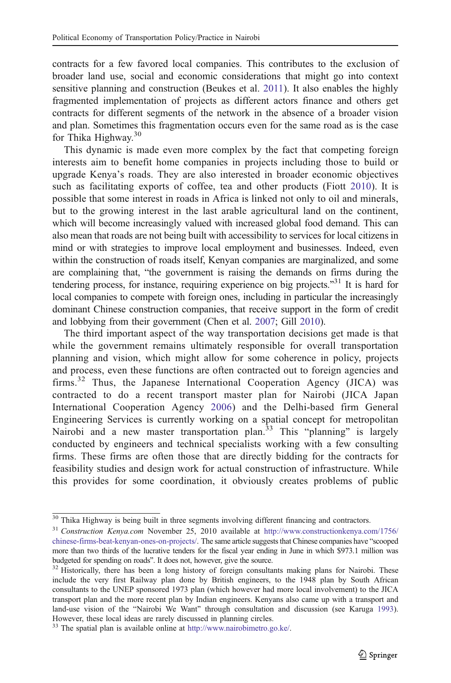contracts for a few favored local companies. This contributes to the exclusion of broader land use, social and economic considerations that might go into context sensitive planning and construction (Beukes et al. [2011](#page-17-0)). It also enables the highly fragmented implementation of projects as different actors finance and others get contracts for different segments of the network in the absence of a broader vision and plan. Sometimes this fragmentation occurs even for the same road as is the case for Thika Highway.<sup>30</sup>

This dynamic is made even more complex by the fact that competing foreign interests aim to benefit home companies in projects including those to build or upgrade Kenya's roads. They are also interested in broader economic objectives such as facilitating exports of coffee, tea and other products (Fiott [2010\)](#page-17-0). It is possible that some interest in roads in Africa is linked not only to oil and minerals, but to the growing interest in the last arable agricultural land on the continent, which will become increasingly valued with increased global food demand. This can also mean that roads are not being built with accessibility to services for local citizens in mind or with strategies to improve local employment and businesses. Indeed, even within the construction of roads itself, Kenyan companies are marginalized, and some are complaining that, "the government is raising the demands on firms during the tendering process, for instance, requiring experience on big projects."<sup>31</sup> It is hard for local companies to compete with foreign ones, including in particular the increasingly dominant Chinese construction companies, that receive support in the form of credit and lobbying from their government (Chen et al. [2007](#page-17-0); Gill [2010\)](#page-17-0).

The third important aspect of the way transportation decisions get made is that while the government remains ultimately responsible for overall transportation planning and vision, which might allow for some coherence in policy, projects and process, even these functions are often contracted out to foreign agencies and firms.<sup>32</sup> Thus, the Japanese International Cooperation Agency (JICA) was contracted to do a recent transport master plan for Nairobi (JICA Japan International Cooperation Agency [2006](#page-18-0)) and the Delhi-based firm General Engineering Services is currently working on a spatial concept for metropolitan Nairobi and a new master transportation plan.<sup>33</sup> This "planning" is largely conducted by engineers and technical specialists working with a few consulting firms. These firms are often those that are directly bidding for the contracts for feasibility studies and design work for actual construction of infrastructure. While this provides for some coordination, it obviously creates problems of public

<sup>&</sup>lt;sup>30</sup> Thika Highway is being built in three segments involving different financing and contractors.

<sup>31</sup> Construction Kenya.com November 25, 2010 available at [http://www.constructionkenya.com/1756/](http://www.constructionkenya.com/1756/chinese-firms-beat-kenyan-ones-on-projects/) [chinese-firms-beat-kenyan-ones-on-projects/.](http://www.constructionkenya.com/1756/chinese-firms-beat-kenyan-ones-on-projects/) The same article suggests that Chinese companies have "scooped more than two thirds of the lucrative tenders for the fiscal year ending in June in which \$973.1 million was budgeted for spending on roads". It does not, however, give the source.

<sup>&</sup>lt;sup>32</sup> Historically, there has been a long history of foreign consultants making plans for Nairobi. These include the very first Railway plan done by British engineers, to the 1948 plan by South African consultants to the UNEP sponsored 1973 plan (which however had more local involvement) to the JICA transport plan and the more recent plan by Indian engineers. Kenyans also came up with a transport and land-use vision of the "Nairobi We Want" through consultation and discussion (see Karuga [1993\)](#page-18-0). However, these local ideas are rarely discussed in planning circles.

<sup>33</sup> The spatial plan is available online at <http://www.nairobimetro.go.ke/>.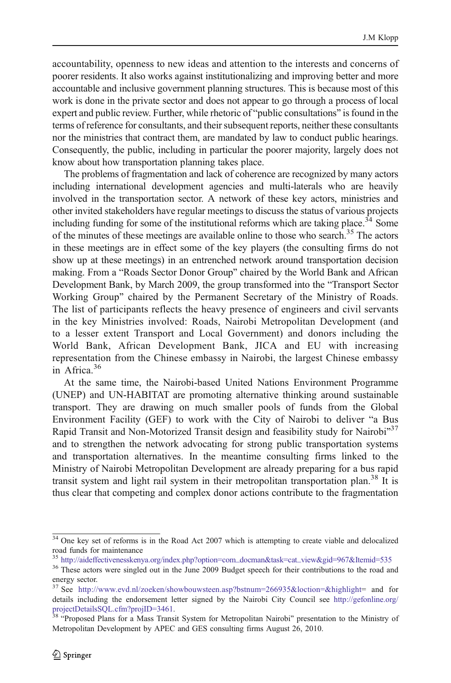accountability, openness to new ideas and attention to the interests and concerns of poorer residents. It also works against institutionalizing and improving better and more accountable and inclusive government planning structures. This is because most of this work is done in the private sector and does not appear to go through a process of local expert and public review. Further, while rhetoric of "public consultations" is found in the terms of reference for consultants, and their subsequent reports, neither these consultants nor the ministries that contract them, are mandated by law to conduct public hearings. Consequently, the public, including in particular the poorer majority, largely does not know about how transportation planning takes place.

The problems of fragmentation and lack of coherence are recognized by many actors including international development agencies and multi-laterals who are heavily involved in the transportation sector. A network of these key actors, ministries and other invited stakeholders have regular meetings to discuss the status of various projects including funding for some of the institutional reforms which are taking place.<sup>34</sup> Some of the minutes of these meetings are available online to those who search.<sup>35</sup> The actors in these meetings are in effect some of the key players (the consulting firms do not show up at these meetings) in an entrenched network around transportation decision making. From a "Roads Sector Donor Group" chaired by the World Bank and African Development Bank, by March 2009, the group transformed into the "Transport Sector Working Group" chaired by the Permanent Secretary of the Ministry of Roads. The list of participants reflects the heavy presence of engineers and civil servants in the key Ministries involved: Roads, Nairobi Metropolitan Development (and to a lesser extent Transport and Local Government) and donors including the World Bank, African Development Bank, JICA and EU with increasing representation from the Chinese embassy in Nairobi, the largest Chinese embassy in Africa.<sup>36</sup>

At the same time, the Nairobi-based United Nations Environment Programme (UNEP) and UN-HABITAT are promoting alternative thinking around sustainable transport. They are drawing on much smaller pools of funds from the Global Environment Facility (GEF) to work with the City of Nairobi to deliver "a Bus Rapid Transit and Non-Motorized Transit design and feasibility study for Nairobi"<sup>37</sup> and to strengthen the network advocating for strong public transportation systems and transportation alternatives. In the meantime consulting firms linked to the Ministry of Nairobi Metropolitan Development are already preparing for a bus rapid transit system and light rail system in their metropolitan transportation plan.<sup>38</sup> It is thus clear that competing and complex donor actions contribute to the fragmentation

 $34$  One key set of reforms is in the Road Act 2007 which is attempting to create viable and delocalized road funds for maintenance<br>
<sup>35</sup> http://aideffectivenesskenya.org/index.php?option=com\_docman&task=cat\_view&gid=967&Itemid=535

<sup>&</sup>lt;sup>36</sup> These actors were singled out in the June 2009 Budget speech for their contributions to the road and energy sector.<br><sup>37</sup> See <http://www.evd.nl/zoeken/showbouwsteen.asp?bstnum=266935&loction=&highlight>= and for

details including the endorsement letter signed by the Nairobi City Council see [http://gefonline.org/](http://gefonline.org/projectDetailsSQL.cfm?projID=3461) [projectDetailsSQL.cfm?projID=3461.](http://gefonline.org/projectDetailsSQL.cfm?projID=3461)<br><sup>38</sup> "Proposed Plans for a Mass Transit System for Metropolitan Nairobi" presentation to the Ministry of

Metropolitan Development by APEC and GES consulting firms August 26, 2010.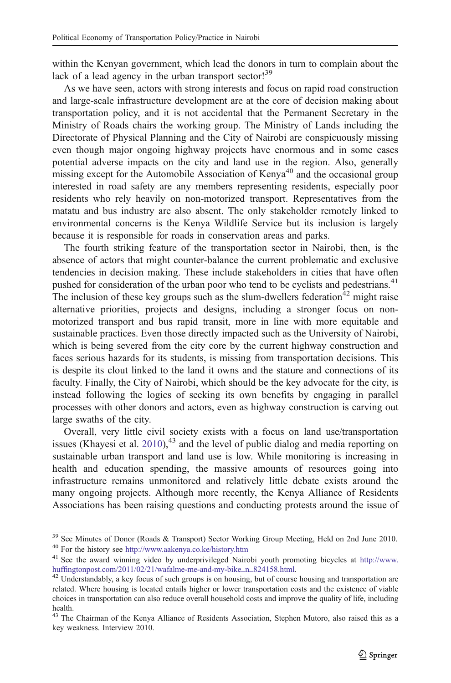within the Kenyan government, which lead the donors in turn to complain about the lack of a lead agency in the urban transport sector! $39$ 

As we have seen, actors with strong interests and focus on rapid road construction and large-scale infrastructure development are at the core of decision making about transportation policy, and it is not accidental that the Permanent Secretary in the Ministry of Roads chairs the working group. The Ministry of Lands including the Directorate of Physical Planning and the City of Nairobi are conspicuously missing even though major ongoing highway projects have enormous and in some cases potential adverse impacts on the city and land use in the region. Also, generally missing except for the Automobile Association of Kenya<sup>40</sup> and the occasional group interested in road safety are any members representing residents, especially poor residents who rely heavily on non-motorized transport. Representatives from the matatu and bus industry are also absent. The only stakeholder remotely linked to environmental concerns is the Kenya Wildlife Service but its inclusion is largely because it is responsible for roads in conservation areas and parks.

The fourth striking feature of the transportation sector in Nairobi, then, is the absence of actors that might counter-balance the current problematic and exclusive tendencies in decision making. These include stakeholders in cities that have often pushed for consideration of the urban poor who tend to be cyclists and pedestrians.<sup>41</sup> The inclusion of these key groups such as the slum-dwellers federation<sup>42</sup> might raise alternative priorities, projects and designs, including a stronger focus on nonmotorized transport and bus rapid transit, more in line with more equitable and sustainable practices. Even those directly impacted such as the University of Nairobi, which is being severed from the city core by the current highway construction and faces serious hazards for its students, is missing from transportation decisions. This is despite its clout linked to the land it owns and the stature and connections of its faculty. Finally, the City of Nairobi, which should be the key advocate for the city, is instead following the logics of seeking its own benefits by engaging in parallel processes with other donors and actors, even as highway construction is carving out large swaths of the city.

Overall, very little civil society exists with a focus on land use/transportation issues (Khayesi et al. [2010](#page-18-0)), $43$  and the level of public dialog and media reporting on sustainable urban transport and land use is low. While monitoring is increasing in health and education spending, the massive amounts of resources going into infrastructure remains unmonitored and relatively little debate exists around the many ongoing projects. Although more recently, the Kenya Alliance of Residents Associations has been raising questions and conducting protests around the issue of

<sup>&</sup>lt;sup>39</sup> See Minutes of Donor (Roads & Transport) Sector Working Group Meeting, Held on 2nd June 2010.

<sup>40</sup> For the history see <http://www.aakenya.co.ke/history.htm>

<sup>41</sup> See the award winning video by underprivileged Nairobi youth promoting bicycles at [http://www.](http://www.huffingtonpost.com/2011/02/21/wafalme-me-and-my-bike_n_824158.html) [huffingtonpost.com/2011/02/21/wafalme-me-and-my-bike\\_n\\_824158.html](http://www.huffingtonpost.com/2011/02/21/wafalme-me-and-my-bike_n_824158.html).<br><sup>42</sup> Understandably, a key focus of such groups is on housing, but of course housing and transportation are

related. Where housing is located entails higher or lower transportation costs and the existence of viable choices in transportation can also reduce overall household costs and improve the quality of life, including health.

<sup>&</sup>lt;sup>43</sup> The Chairman of the Kenya Alliance of Residents Association, Stephen Mutoro, also raised this as a key weakness. Interview 2010.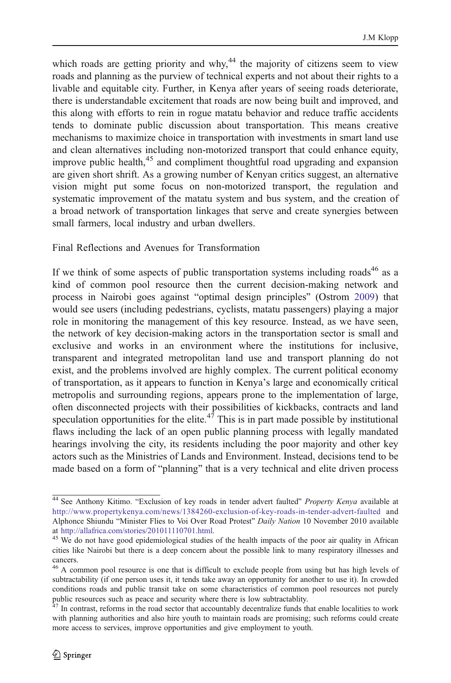which roads are getting priority and why,<sup>44</sup> the majority of citizens seem to view roads and planning as the purview of technical experts and not about their rights to a livable and equitable city. Further, in Kenya after years of seeing roads deteriorate, there is understandable excitement that roads are now being built and improved, and this along with efforts to rein in rogue matatu behavior and reduce traffic accidents tends to dominate public discussion about transportation. This means creative mechanisms to maximize choice in transportation with investments in smart land use and clean alternatives including non-motorized transport that could enhance equity, improve public health, $45$  and compliment thoughtful road upgrading and expansion are given short shrift. As a growing number of Kenyan critics suggest, an alternative vision might put some focus on non-motorized transport, the regulation and systematic improvement of the matatu system and bus system, and the creation of a broad network of transportation linkages that serve and create synergies between small farmers, local industry and urban dwellers.

Final Reflections and Avenues for Transformation

If we think of some aspects of public transportation systems including roads<sup>46</sup> as a kind of common pool resource then the current decision-making network and process in Nairobi goes against "optimal design principles" (Ostrom [2009](#page-19-0)) that would see users (including pedestrians, cyclists, matatu passengers) playing a major role in monitoring the management of this key resource. Instead, as we have seen, the network of key decision-making actors in the transportation sector is small and exclusive and works in an environment where the institutions for inclusive, transparent and integrated metropolitan land use and transport planning do not exist, and the problems involved are highly complex. The current political economy of transportation, as it appears to function in Kenya's large and economically critical metropolis and surrounding regions, appears prone to the implementation of large, often disconnected projects with their possibilities of kickbacks, contracts and land speculation opportunities for the elite.<sup>47</sup> This is in part made possible by institutional flaws including the lack of an open public planning process with legally mandated hearings involving the city, its residents including the poor majority and other key actors such as the Ministries of Lands and Environment. Instead, decisions tend to be made based on a form of "planning" that is a very technical and elite driven process

<sup>&</sup>lt;sup>44</sup> See Anthony Kitimo. "Exclusion of key roads in tender advert faulted" Property Kenya available at <http://www.propertykenya.com/news/1384260-exclusion-of-key-roads-in-tender-advert-faulted> and Alphonce Shiundu "Minister Flies to Voi Over Road Protest" Daily Nation 10 November 2010 available at <http://allafrica.com/stories/201011110701.html>.

<sup>&</sup>lt;sup>45</sup> We do not have good epidemiological studies of the health impacts of the poor air quality in African cities like Nairobi but there is a deep concern about the possible link to many respiratory illnesses and cancers.

<sup>46</sup> A common pool resource is one that is difficult to exclude people from using but has high levels of subtractability (if one person uses it, it tends take away an opportunity for another to use it). In crowded conditions roads and public transit take on some characteristics of common pool resources not purely

public resources such as peace and security where there is low subtractablity.<br><sup>47</sup> In contrast, reforms in the road sector that accountably decentralize funds that enable localities to work with planning authorities and also hire youth to maintain roads are promising; such reforms could create more access to services, improve opportunities and give employment to youth.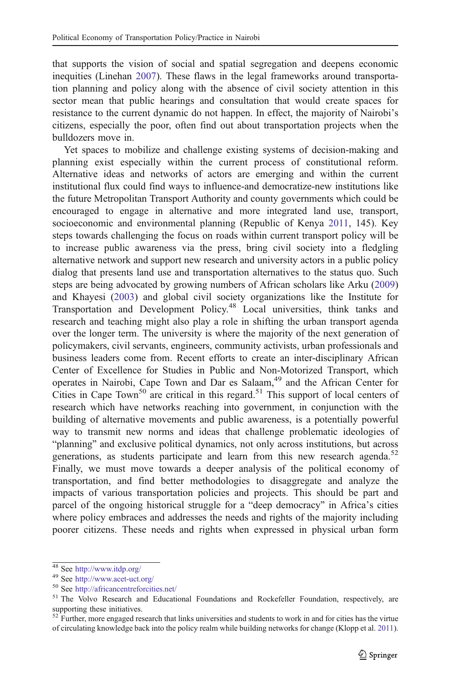that supports the vision of social and spatial segregation and deepens economic inequities (Linehan [2007](#page-18-0)). These flaws in the legal frameworks around transportation planning and policy along with the absence of civil society attention in this sector mean that public hearings and consultation that would create spaces for resistance to the current dynamic do not happen. In effect, the majority of Nairobi's citizens, especially the poor, often find out about transportation projects when the bulldozers move in.

Yet spaces to mobilize and challenge existing systems of decision-making and planning exist especially within the current process of constitutional reform. Alternative ideas and networks of actors are emerging and within the current institutional flux could find ways to influence-and democratize-new institutions like the future Metropolitan Transport Authority and county governments which could be encouraged to engage in alternative and more integrated land use, transport, socioeconomic and environmental planning (Republic of Kenya [2011,](#page-19-0) 145). Key steps towards challenging the focus on roads within current transport policy will be to increase public awareness via the press, bring civil society into a fledgling alternative network and support new research and university actors in a public policy dialog that presents land use and transportation alternatives to the status quo. Such steps are being advocated by growing numbers of African scholars like Arku [\(2009](#page-17-0)) and Khayesi [\(2003](#page-18-0)) and global civil society organizations like the Institute for Transportation and Development Policy.<sup>48</sup> Local universities, think tanks and research and teaching might also play a role in shifting the urban transport agenda over the longer term. The university is where the majority of the next generation of policymakers, civil servants, engineers, community activists, urban professionals and business leaders come from. Recent efforts to create an inter-disciplinary African Center of Excellence for Studies in Public and Non-Motorized Transport, which operates in Nairobi, Cape Town and Dar es Salaam,<sup>49</sup> and the African Center for Cities in Cape Town<sup>50</sup> are critical in this regard.<sup>51</sup> This support of local centers of research which have networks reaching into government, in conjunction with the building of alternative movements and public awareness, is a potentially powerful way to transmit new norms and ideas that challenge problematic ideologies of "planning" and exclusive political dynamics, not only across institutions, but across generations, as students participate and learn from this new research agenda.<sup>52</sup> Finally, we must move towards a deeper analysis of the political economy of transportation, and find better methodologies to disaggregate and analyze the impacts of various transportation policies and projects. This should be part and parcel of the ongoing historical struggle for a "deep democracy" in Africa's cities where policy embraces and addresses the needs and rights of the majority including poorer citizens. These needs and rights when expressed in physical urban form

<sup>&</sup>lt;sup>48</sup> See <http://www.itdp.org/><br><sup>49</sup> See <http://www.acet-uct.org/><br><sup>50</sup> See <http://africancentreforcities.net/><br><sup>51</sup> The Volvo Research and Educational Foundations and Rockefeller Foundation, respectively, are supporting these initiatives.

 $52$  Further, more engaged research that links universities and students to work in and for cities has the virtue of circulating knowledge back into the policy realm while building networks for change (Klopp et al. [2011\)](#page-18-0).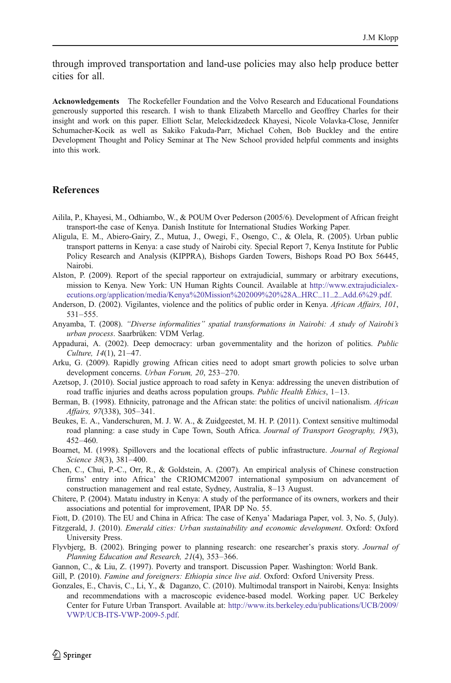<span id="page-17-0"></span>through improved transportation and land-use policies may also help produce better cities for all.

Acknowledgements The Rockefeller Foundation and the Volvo Research and Educational Foundations generously supported this research. I wish to thank Elizabeth Marcello and Geoffrey Charles for their insight and work on this paper. Elliott Sclar, Meleckidzedeck Khayesi, Nicole Volavka-Close, Jennifer Schumacher-Kocik as well as Sakiko Fakuda-Parr, Michael Cohen, Bob Buckley and the entire Development Thought and Policy Seminar at The New School provided helpful comments and insights into this work.

#### References

- Ailila, P., Khayesi, M., Odhiambo, W., & POUM Over Pederson (2005/6). Development of African freight transport-the case of Kenya. Danish Institute for International Studies Working Paper.
- Aligula, E. M., Abiero-Gairy, Z., Mutua, J., Owegi, F., Osengo, C., & Olela, R. (2005). Urban public transport patterns in Kenya: a case study of Nairobi city. Special Report 7, Kenya Institute for Public Policy Research and Analysis (KIPPRA), Bishops Garden Towers, Bishops Road PO Box 56445, Nairobi.
- Alston, P. (2009). Report of the special rapporteur on extrajudicial, summary or arbitrary executions, mission to Kenya. New York: UN Human Rights Council. Available at [http://www.extrajudicialex](http://www.extrajudicialexecutions.org/application/media/Kenya%20Mission%202009%20%28A_HRC_11_2_Add.6%29.pdf)[ecutions.org/application/media/Kenya%20Mission%202009%20%28A\\_HRC\\_11\\_2\\_Add.6%29.pdf](http://www.extrajudicialexecutions.org/application/media/Kenya%20Mission%202009%20%28A_HRC_11_2_Add.6%29.pdf).
- Anderson, D. (2002). Vigilantes, violence and the politics of public order in Kenya. African Affairs, 101, 531–555.
- Anyamba, T. (2008). "Diverse informalities" spatial transformations in Nairobi: A study of Nairobi's urban process. Saarbrüken: VDM Verlag.
- Appadurai, A. (2002). Deep democracy: urban governmentality and the horizon of politics. Public Culture, 14(1), 21–47.
- Arku, G. (2009). Rapidly growing African cities need to adopt smart growth policies to solve urban development concerns. Urban Forum, 20, 253–270.
- Azetsop, J. (2010). Social justice approach to road safety in Kenya: addressing the uneven distribution of road traffic injuries and deaths across population groups. Public Health Ethics, 1–13.
- Berman, B. (1998). Ethnicity, patronage and the African state: the politics of uncivil nationalism. African Affairs, 97(338), 305–341.
- Beukes, E. A., Vanderschuren, M. J. W. A., & Zuidgeestet, M. H. P. (2011). Context sensitive multimodal road planning: a case study in Cape Town, South Africa. Journal of Transport Geography, 19(3), 452–460.
- Boarnet, M. (1998). Spillovers and the locational effects of public infrastructure. Journal of Regional Science 38(3), 381–400.
- Chen, C., Chui, P.-C., Orr, R., & Goldstein, A. (2007). An empirical analysis of Chinese construction firms' entry into Africa' the CRIOMCM2007 international symposium on advancement of construction management and real estate, Sydney, Australia, 8–13 August.
- Chitere, P. (2004). Matatu industry in Kenya: A study of the performance of its owners, workers and their associations and potential for improvement, IPAR DP No. 55.
- Fiott, D. (2010). The EU and China in Africa: The case of Kenya' Madariaga Paper, vol. 3, No. 5, (July).
- Fitzgerald, J. (2010). Emerald cities: Urban sustainability and economic development. Oxford: Oxford University Press.
- Flyvbjerg, B. (2002). Bringing power to planning research: one researcher's praxis story. Journal of Planning Education and Research, 21(4), 353–366.

Gannon, C., & Liu, Z. (1997). Poverty and transport. Discussion Paper. Washington: World Bank.

Gill, P. (2010). Famine and foreigners: Ethiopia since live aid. Oxford: Oxford University Press.

Gonzales, E., Chavis, C., Li, Y., & Daganzo, C. (2010). Multimodal transport in Nairobi, Kenya: Insights and recommendations with a macroscopic evidence-based model. Working paper. UC Berkeley Center for Future Urban Transport. Available at: [http://www.its.berkeley.edu/publications/UCB/2009/](http://www.its.berkeley.edu/publications/UCB/2009/VWP/UCB-ITS-VWP-2009-5.pdf) [VWP/UCB-ITS-VWP-2009-5.pdf.](http://www.its.berkeley.edu/publications/UCB/2009/VWP/UCB-ITS-VWP-2009-5.pdf)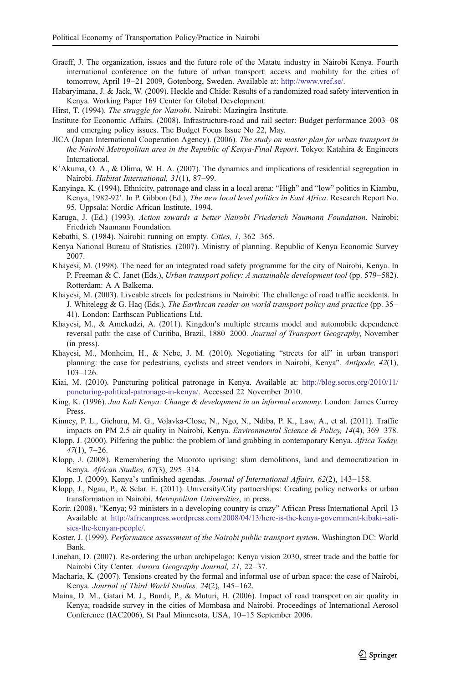- <span id="page-18-0"></span>Graeff, J. The organization, issues and the future role of the Matatu industry in Nairobi Kenya. Fourth international conference on the future of urban transport: access and mobility for the cities of tomorrow, April 19–21 2009, Gotenborg, Sweden. Available at: [http://www.vref.se/.](http://www.vref.se/)
- Habaryimana, J. & Jack, W. (2009). Heckle and Chide: Results of a randomized road safety intervention in Kenya. Working Paper 169 Center for Global Development.

Hirst, T. (1994). *The struggle for Nairobi*. Nairobi: Mazingira Institute.

- Institute for Economic Affairs. (2008). Infrastructure-road and rail sector: Budget performance 2003–08 and emerging policy issues. The Budget Focus Issue No 22, May.
- JICA (Japan International Cooperation Agency). (2006). The study on master plan for urban transport in the Nairobi Metropolitan area in the Republic of Kenya-Final Report. Tokyo: Katahira & Engineers International.
- K'Akuma, O. A., & Olima, W. H. A. (2007). The dynamics and implications of residential segregation in Nairobi. Habitat International, 31(1), 87–99.
- Kanyinga, K. (1994). Ethnicity, patronage and class in a local arena: "High" and "low" politics in Kiambu, Kenya, 1982-92'. In P. Gibbon (Ed.), The new local level politics in East Africa. Research Report No. 95. Uppsala: Nordic African Institute, 1994.
- Karuga, J. (Ed.) (1993). Action towards a better Nairobi Friederich Naumann Foundation. Nairobi: Friedrich Naumann Foundation.
- Kebathi, S. (1984). Nairobi: running on empty. Cities, 1, 362–365.
- Kenya National Bureau of Statistics. (2007). Ministry of planning. Republic of Kenya Economic Survey 2007.
- Khayesi, M. (1998). The need for an integrated road safety programme for the city of Nairobi, Kenya. In P. Freeman & C. Janet (Eds.), Urban transport policy: A sustainable development tool (pp. 579–582). Rotterdam: A A Balkema.
- Khayesi, M. (2003). Liveable streets for pedestrians in Nairobi: The challenge of road traffic accidents. In J. Whitelegg & G. Haq (Eds.), The Earthscan reader on world transport policy and practice (pp. 35– 41). London: Earthscan Publications Ltd.
- Khayesi, M., & Amekudzi, A. (2011). Kingdon's multiple streams model and automobile dependence reversal path: the case of Curitiba, Brazil, 1880–2000. Journal of Transport Geography, November (in press).
- Khayesi, M., Monheim, H., & Nebe, J. M. (2010). Negotiating "streets for all" in urban transport planning: the case for pedestrians, cyclists and street vendors in Nairobi, Kenya". Antipode, 42(1), 103–126.
- Kiai, M. (2010). Puncturing political patronage in Kenya. Available at: [http://blog.soros.org/2010/11/](http://blog.soros.org/2010/11/puncturing-political-patronage-in-kenya/) [puncturing-political-patronage-in-kenya/](http://blog.soros.org/2010/11/puncturing-political-patronage-in-kenya/). Accessed 22 November 2010.
- King, K. (1996). Jua Kali Kenya: Change & development in an informal economy. London: James Currey Press.
- Kinney, P. L., Gichuru, M. G., Volavka-Close, N., Ngo, N., Ndiba, P. K., Law, A., et al. (2011). Traffic impacts on PM 2.5 air quality in Nairobi, Kenya. Environmental Science & Policy, 14(4), 369–378.
- Klopp, J. (2000). Pilfering the public: the problem of land grabbing in contemporary Kenya. Africa Today, 47(1), 7–26.
- Klopp, J. (2008). Remembering the Muoroto uprising: slum demolitions, land and democratization in Kenya. African Studies, 67(3), 295–314.
- Klopp, J. (2009). Kenya's unfinished agendas. Journal of International Affairs, 62(2), 143–158.
- Klopp, J., Ngau, P., & Sclar. E. (2011). University/City partnerships: Creating policy networks or urban transformation in Nairobi, Metropolitan Universities, in press.
- Korir. (2008). "Kenya; 93 ministers in a developing country is crazy" African Press International April 13 Available at [http://africanpress.wordpress.com/2008/04/13/here-is-the-kenya-government-kibaki-sati](http://africanpress.wordpress.com/2008/04/13/here-is-the-kenya-government-kibaki-satisies-the-kenyan-people/)[sies-the-kenyan-people/](http://africanpress.wordpress.com/2008/04/13/here-is-the-kenya-government-kibaki-satisies-the-kenyan-people/).
- Koster, J. (1999). Performance assessment of the Nairobi public transport system. Washington DC: World Bank.
- Linehan, D. (2007). Re-ordering the urban archipelago: Kenya vision 2030, street trade and the battle for Nairobi City Center. Aurora Geography Journal, 21, 22–37.
- Macharia, K. (2007). Tensions created by the formal and informal use of urban space: the case of Nairobi, Kenya. Journal of Third World Studies, 24(2), 145–162.
- Maina, D. M., Gatari M. J., Bundi, P., & Muturi, H. (2006). Impact of road transport on air quality in Kenya; roadside survey in the cities of Mombasa and Nairobi. Proceedings of International Aerosol Conference (IAC2006), St Paul Minnesota, USA, 10–15 September 2006.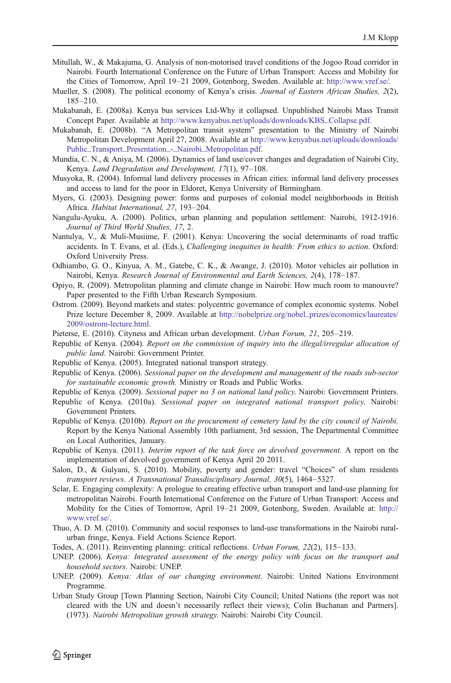- <span id="page-19-0"></span>Mitullah, W., & Makajuma, G. Analysis of non-motorised travel conditions of the Jogoo Road corridor in Nairobi. Fourth International Conference on the Future of Urban Transport: Access and Mobility for the Cities of Tomorrow, April 19–21 2009, Gotenborg, Sweden. Available at: <http://www.vref.se/>.
- Mueller, S. (2008). The political economy of Kenya's crisis. Journal of Eastern African Studies, 2(2), 185–210.
- Mukabanah, E. (2008a). Kenya bus services Ltd-Why it collapsed. Unpublished Nairobi Mass Transit Concept Paper. Available at [http://www.kenyabus.net/uploads/downloads/KBS\\_Collapse.pdf](http://www.kenyabus.net/uploads/downloads/KBS_Collapse.pdf).
- Mukabanah, E. (2008b). "A Metropolitan transit system" presentation to the Ministry of Nairobi Metropolitan Development April 27, 2008. Available at [http://www.kenyabus.net/uploads/downloads/](http://www.kenyabus.net/uploads/downloads/Public_Transport_Presentation_-_Nairobi_Metropolitan.pdf) [Public\\_Transport\\_Presentation\\_-\\_Nairobi\\_Metropolitan.pdf](http://www.kenyabus.net/uploads/downloads/Public_Transport_Presentation_-_Nairobi_Metropolitan.pdf).
- Mundia, C. N., & Aniya, M. (2006). Dynamics of land use/cover changes and degradation of Nairobi City, Kenya. Land Degradation and Development, 17(1), 97–108.
- Musyoka, R. (2004). Informal land delivery processes in African cities: informal land delivery processes and access to land for the poor in Eldoret, Kenya University of Birmingham.
- Myers, G. (2003). Designing power: forms and purposes of colonial model neighborhoods in British Africa. Habitat International, 27, 193–204.
- Nangulu-Ayuku, A. (2000). Politics, urban planning and population settlement: Nairobi, 1912-1916. Journal of Third World Studies, 17, 2.
- Nantulya, V., & Muli-Musiime, F. (2001). Kenya: Uncovering the social determinants of road traffic accidents. In T. Evans, et al. (Eds.), Challenging inequities in health: From ethics to action. Oxford: Oxford University Press.
- Odhiambo, G. O., Kinyua, A. M., Gatebe, C. K., & Awange, J. (2010). Motor vehicles air pollution in Nairobi, Kenya. Research Journal of Environmental and Earth Sciences, 2(4), 178–187.
- Opiyo, R. (2009). Metropolitan planning and climate change in Nairobi: How much room to manouvre? Paper presented to the Fifth Urban Research Symposium.
- Ostrom. (2009). Beyond markets and states: polycentric governance of complex economic systems. Nobel Prize lecture December 8, 2009. Available at [http://nobelprize.org/nobel\\_prizes/economics/laureates/](http://nobelprize.org/nobel_prizes/economics/laureates/2009/ostrom-lecture.html) [2009/ostrom-lecture.html](http://nobelprize.org/nobel_prizes/economics/laureates/2009/ostrom-lecture.html).
- Pieterse, E. (2010). Cityness and African urban development. Urban Forum, 21, 205–219.
- Republic of Kenya. (2004). Report on the commission of inquiry into the illegal/irregular allocation of public land. Nairobi: Government Printer.
- Republic of Kenya. (2005). Integrated national transport strategy.
- Republic of Kenya. (2006). Sessional paper on the development and management of the roads sub-sector for sustainable economic growth. Ministry or Roads and Public Works.
- Republic of Kenya. (2009). Sessional paper no 3 on national land policy. Nairobi: Government Printers. Republic of Kenya. (2010a). Sessional paper on integrated national transport policy. Nairobi: Government Printers.
- Republic of Kenya. (2010b). Report on the procurement of cemetery land by the city council of Nairobi. Report by the Kenya National Assembly 10th parliament, 3rd session, The Departmental Committee on Local Authorities, January.
- Republic of Kenya. (2011). *Interim report of the task force on devolved government*. A report on the implementation of devolved government of Kenya April 20 2011.
- Salon, D., & Gulyani, S. (2010). Mobility, poverty and gender: travel "Choices" of slum residents transport reviews. A Transnational Transdisciplinary Journal, 30(5), 1464–5327.
- Sclar, E. Engaging complexity: A prologue to creating effective urban transport and land-use planning for metropolitan Nairobi. Fourth International Conference on the Future of Urban Transport: Access and Mobility for the Cities of Tomorrow, April 19–21 2009, Gotenborg, Sweden. Available at: [http://](http://www.vref.se/) [www.vref.se/.](http://www.vref.se/)
- Thuo, A. D. M. (2010). Community and social responses to land-use transformations in the Nairobi ruralurban fringe, Kenya. Field Actions Science Report.
- Todes, A. (2011). Reinventing planning: critical reflections. Urban Forum, 22(2), 115–133.
- UNEP. (2006). Kenya: Integrated assessment of the energy policy with focus on the transport and household sectors. Nairobi: UNEP.
- UNEP. (2009). Kenya: Atlas of our changing environment. Nairobi: United Nations Environment Programme.
- Urban Study Group [Town Planning Section, Nairobi City Council; United Nations (the report was not cleared with the UN and doesn't necessarily reflect their views); Colin Buchanan and Partners]. (1973). Nairobi Metropolitan growth strategy. Nairobi: Nairobi City Council.